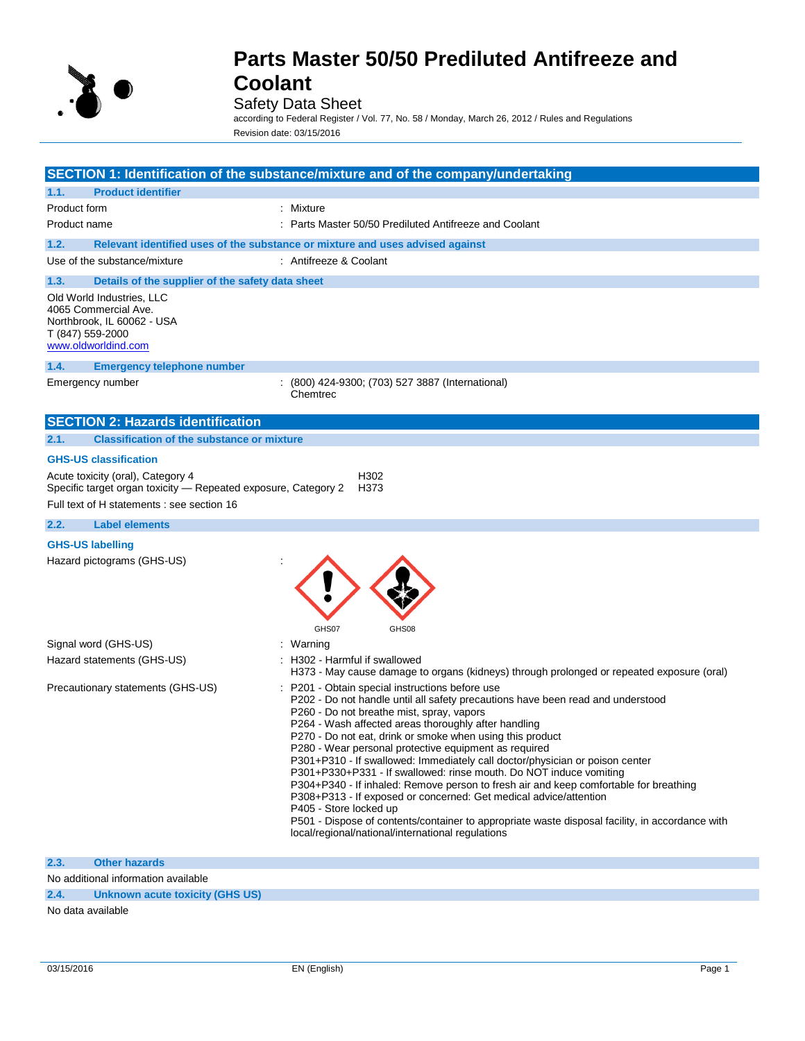

## Safety Data Sheet

according to Federal Register / Vol. 77, No. 58 / Monday, March 26, 2012 / Rules and Regulations Revision date: 03/15/2016

|                                                                                                                            | SECTION 1: Identification of the substance/mixture and of the company/undertaking                                                                                                                                                                                                                                                                                                                                                                                                                                                                                                                                                                                                                                                                                                                                                                                 |
|----------------------------------------------------------------------------------------------------------------------------|-------------------------------------------------------------------------------------------------------------------------------------------------------------------------------------------------------------------------------------------------------------------------------------------------------------------------------------------------------------------------------------------------------------------------------------------------------------------------------------------------------------------------------------------------------------------------------------------------------------------------------------------------------------------------------------------------------------------------------------------------------------------------------------------------------------------------------------------------------------------|
| <b>Product identifier</b><br>1.1.                                                                                          |                                                                                                                                                                                                                                                                                                                                                                                                                                                                                                                                                                                                                                                                                                                                                                                                                                                                   |
| Product form                                                                                                               | : Mixture                                                                                                                                                                                                                                                                                                                                                                                                                                                                                                                                                                                                                                                                                                                                                                                                                                                         |
| Product name                                                                                                               | : Parts Master 50/50 Prediluted Antifreeze and Coolant                                                                                                                                                                                                                                                                                                                                                                                                                                                                                                                                                                                                                                                                                                                                                                                                            |
| 1.2.                                                                                                                       | Relevant identified uses of the substance or mixture and uses advised against                                                                                                                                                                                                                                                                                                                                                                                                                                                                                                                                                                                                                                                                                                                                                                                     |
| Use of the substance/mixture                                                                                               | : Antifreeze & Coolant                                                                                                                                                                                                                                                                                                                                                                                                                                                                                                                                                                                                                                                                                                                                                                                                                                            |
| 1.3.<br>Details of the supplier of the safety data sheet                                                                   |                                                                                                                                                                                                                                                                                                                                                                                                                                                                                                                                                                                                                                                                                                                                                                                                                                                                   |
| Old World Industries, LLC<br>4065 Commercial Ave.<br>Northbrook, IL 60062 - USA<br>T (847) 559-2000<br>www.oldworldind.com |                                                                                                                                                                                                                                                                                                                                                                                                                                                                                                                                                                                                                                                                                                                                                                                                                                                                   |
| 1.4.<br><b>Emergency telephone number</b>                                                                                  |                                                                                                                                                                                                                                                                                                                                                                                                                                                                                                                                                                                                                                                                                                                                                                                                                                                                   |
| Emergency number                                                                                                           | : (800) 424-9300; (703) 527 3887 (International)<br>Chemtrec                                                                                                                                                                                                                                                                                                                                                                                                                                                                                                                                                                                                                                                                                                                                                                                                      |
| <b>SECTION 2: Hazards identification</b>                                                                                   |                                                                                                                                                                                                                                                                                                                                                                                                                                                                                                                                                                                                                                                                                                                                                                                                                                                                   |
| <b>Classification of the substance or mixture</b><br>2.1.                                                                  |                                                                                                                                                                                                                                                                                                                                                                                                                                                                                                                                                                                                                                                                                                                                                                                                                                                                   |
| <b>GHS-US classification</b>                                                                                               |                                                                                                                                                                                                                                                                                                                                                                                                                                                                                                                                                                                                                                                                                                                                                                                                                                                                   |
| Acute toxicity (oral), Category 4<br>Specific target organ toxicity - Repeated exposure, Category 2                        | H302<br>H373                                                                                                                                                                                                                                                                                                                                                                                                                                                                                                                                                                                                                                                                                                                                                                                                                                                      |
| Full text of H statements : see section 16                                                                                 |                                                                                                                                                                                                                                                                                                                                                                                                                                                                                                                                                                                                                                                                                                                                                                                                                                                                   |
| 2.2.<br><b>Label elements</b>                                                                                              |                                                                                                                                                                                                                                                                                                                                                                                                                                                                                                                                                                                                                                                                                                                                                                                                                                                                   |
| <b>GHS-US labelling</b><br>Hazard pictograms (GHS-US)                                                                      |                                                                                                                                                                                                                                                                                                                                                                                                                                                                                                                                                                                                                                                                                                                                                                                                                                                                   |
| Signal word (GHS-US)                                                                                                       | GHS07<br>GHS08<br>: Warning                                                                                                                                                                                                                                                                                                                                                                                                                                                                                                                                                                                                                                                                                                                                                                                                                                       |
| Hazard statements (GHS-US)                                                                                                 | : H302 - Harmful if swallowed<br>H373 - May cause damage to organs (kidneys) through prolonged or repeated exposure (oral)                                                                                                                                                                                                                                                                                                                                                                                                                                                                                                                                                                                                                                                                                                                                        |
| Precautionary statements (GHS-US)                                                                                          | P201 - Obtain special instructions before use<br>P202 - Do not handle until all safety precautions have been read and understood<br>P260 - Do not breathe mist, spray, vapors<br>P264 - Wash affected areas thoroughly after handling<br>P270 - Do not eat, drink or smoke when using this product<br>P280 - Wear personal protective equipment as required<br>P301+P310 - If swallowed: Immediately call doctor/physician or poison center<br>P301+P330+P331 - If swallowed: rinse mouth. Do NOT induce vomiting<br>P304+P340 - If inhaled: Remove person to fresh air and keep comfortable for breathing<br>P308+P313 - If exposed or concerned: Get medical advice/attention<br>P405 - Store locked up<br>P501 - Dispose of contents/container to appropriate waste disposal facility, in accordance with<br>local/regional/national/international regulations |
| <b>Other hazards</b><br>2.3.                                                                                               |                                                                                                                                                                                                                                                                                                                                                                                                                                                                                                                                                                                                                                                                                                                                                                                                                                                                   |
| No additional information available                                                                                        |                                                                                                                                                                                                                                                                                                                                                                                                                                                                                                                                                                                                                                                                                                                                                                                                                                                                   |

**2.4. Unknown acute toxicity (GHS US)**

No data available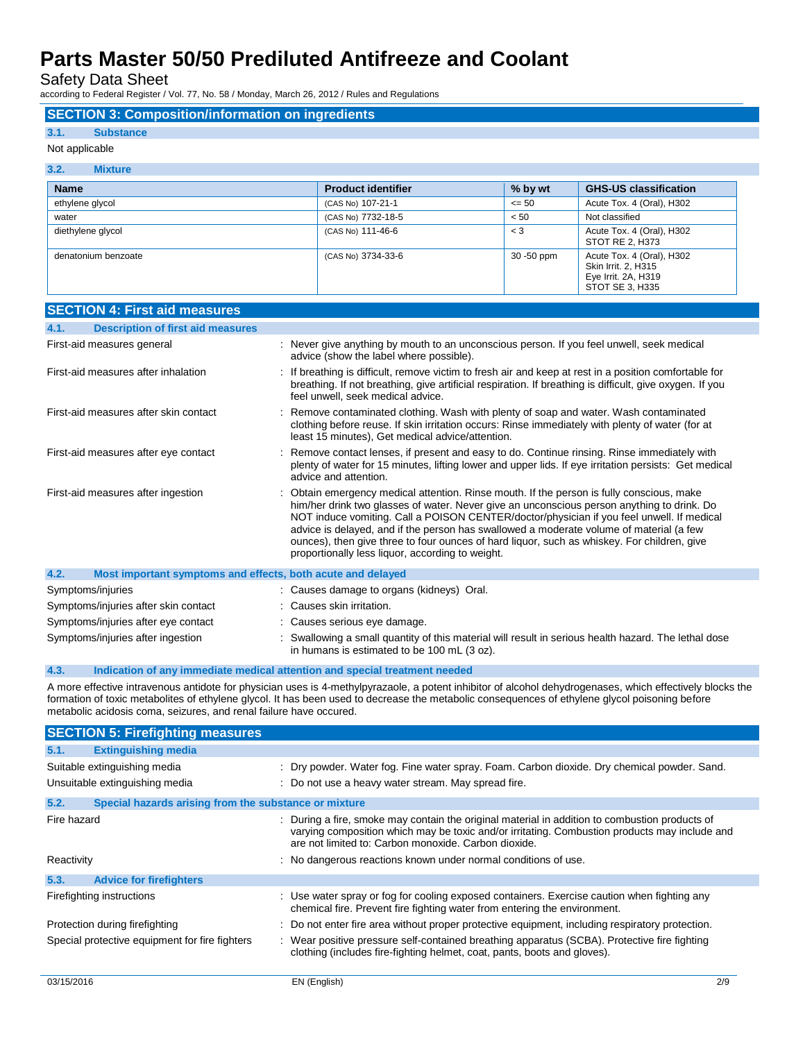Safety Data Sheet

according to Federal Register / Vol. 77, No. 58 / Monday, March 26, 2012 / Rules and Regulations

## **SECTION 3: Composition/information on ingredients**

### **3.1. Substance**

#### Not applicable

#### **3.2. Mixture**

| <b>Name</b>         | <b>Product identifier</b> | % by wt    | <b>GHS-US classification</b>                                                               |
|---------------------|---------------------------|------------|--------------------------------------------------------------------------------------------|
| ethylene glycol     | (CAS No) 107-21-1         | $\leq 50$  | Acute Tox. 4 (Oral), H302                                                                  |
| water               | (CAS No) 7732-18-5        | < 50       | Not classified                                                                             |
| diethylene glycol   | (CAS No) 111-46-6         | $<$ 3      | Acute Tox. 4 (Oral), H302<br>STOT RE 2, H373                                               |
| denatonium benzoate | (CAS No) 3734-33-6        | 30 -50 ppm | Acute Tox. 4 (Oral), H302<br>Skin Irrit. 2. H315<br>Eye Irrit. 2A, H319<br>STOT SE 3, H335 |

| <b>SECTION 4: First aid measures</b>                                |                                                                                                                                                                                                                                                                                                                                                                                                                                                                                                                                  |
|---------------------------------------------------------------------|----------------------------------------------------------------------------------------------------------------------------------------------------------------------------------------------------------------------------------------------------------------------------------------------------------------------------------------------------------------------------------------------------------------------------------------------------------------------------------------------------------------------------------|
| 4.1.<br><b>Description of first aid measures</b>                    |                                                                                                                                                                                                                                                                                                                                                                                                                                                                                                                                  |
| First-aid measures general                                          | : Never give anything by mouth to an unconscious person. If you feel unwell, seek medical<br>advice (show the label where possible).                                                                                                                                                                                                                                                                                                                                                                                             |
| First-aid measures after inhalation                                 | : If breathing is difficult, remove victim to fresh air and keep at rest in a position comfortable for<br>breathing. If not breathing, give artificial respiration. If breathing is difficult, give oxygen. If you<br>feel unwell, seek medical advice.                                                                                                                                                                                                                                                                          |
| First-aid measures after skin contact                               | Remove contaminated clothing. Wash with plenty of soap and water. Wash contaminated<br>clothing before reuse. If skin irritation occurs: Rinse immediately with plenty of water (for at<br>least 15 minutes), Get medical advice/attention.                                                                                                                                                                                                                                                                                      |
| First-aid measures after eye contact                                | Remove contact lenses, if present and easy to do. Continue rinsing. Rinse immediately with<br>plenty of water for 15 minutes, lifting lower and upper lids. If eye irritation persists: Get medical<br>advice and attention.                                                                                                                                                                                                                                                                                                     |
| First-aid measures after ingestion                                  | Obtain emergency medical attention. Rinse mouth. If the person is fully conscious, make<br>him/her drink two glasses of water. Never give an unconscious person anything to drink. Do<br>NOT induce vomiting. Call a POISON CENTER/doctor/physician if you feel unwell. If medical<br>advice is delayed, and if the person has swallowed a moderate volume of material (a few<br>ounces), then give three to four ounces of hard liquor, such as whiskey. For children, give<br>proportionally less liquor, according to weight. |
| 4.2.<br>Most important symptoms and effects, both acute and delayed |                                                                                                                                                                                                                                                                                                                                                                                                                                                                                                                                  |
| Symptoms/injuries                                                   | : Causes damage to organs (kidneys) Oral.                                                                                                                                                                                                                                                                                                                                                                                                                                                                                        |
| Symptoms/injuries after skin contact                                | : Causes skin irritation.                                                                                                                                                                                                                                                                                                                                                                                                                                                                                                        |
| Symptoms/injuries after eye contact                                 | : Causes serious eye damage.                                                                                                                                                                                                                                                                                                                                                                                                                                                                                                     |
| Symptoms/injuries after ingestion                                   | Swallowing a small quantity of this material will result in serious health hazard. The lethal dose<br>in humans is estimated to be 100 mL (3 oz).                                                                                                                                                                                                                                                                                                                                                                                |

### **4.3. Indication of any immediate medical attention and special treatment needed**

A more effective intravenous antidote for physician uses is 4-methylpyrazaole, a potent inhibitor of alcohol dehydrogenases, which effectively blocks the formation of toxic metabolites of ethylene glycol. It has been used to decrease the metabolic consequences of ethylene glycol poisoning before metabolic acidosis coma, seizures, and renal failure have occured.

| <b>SECTION 5: Firefighting measures</b>                       |                                                                                                                                                                                                                                                         |
|---------------------------------------------------------------|---------------------------------------------------------------------------------------------------------------------------------------------------------------------------------------------------------------------------------------------------------|
| <b>Extinguishing media</b><br>5.1.                            |                                                                                                                                                                                                                                                         |
| Suitable extinguishing media                                  | : Dry powder. Water fog. Fine water spray. Foam. Carbon dioxide. Dry chemical powder. Sand.                                                                                                                                                             |
| Unsuitable extinguishing media                                | : Do not use a heavy water stream. May spread fire.                                                                                                                                                                                                     |
| 5.2.<br>Special hazards arising from the substance or mixture |                                                                                                                                                                                                                                                         |
| Fire hazard                                                   | : During a fire, smoke may contain the original material in addition to combustion products of<br>varying composition which may be toxic and/or irritating. Combustion products may include and<br>are not limited to: Carbon monoxide. Carbon dioxide. |
| Reactivity                                                    | : No dangerous reactions known under normal conditions of use.                                                                                                                                                                                          |
| 5.3.<br><b>Advice for firefighters</b>                        |                                                                                                                                                                                                                                                         |
| Firefighting instructions                                     | : Use water spray or fog for cooling exposed containers. Exercise caution when fighting any<br>chemical fire. Prevent fire fighting water from entering the environment.                                                                                |
| Protection during firefighting                                | : Do not enter fire area without proper protective equipment, including respiratory protection.                                                                                                                                                         |
| Special protective equipment for fire fighters                | : Wear positive pressure self-contained breathing apparatus (SCBA). Protective fire fighting<br>clothing (includes fire-fighting helmet, coat, pants, boots and gloves).                                                                                |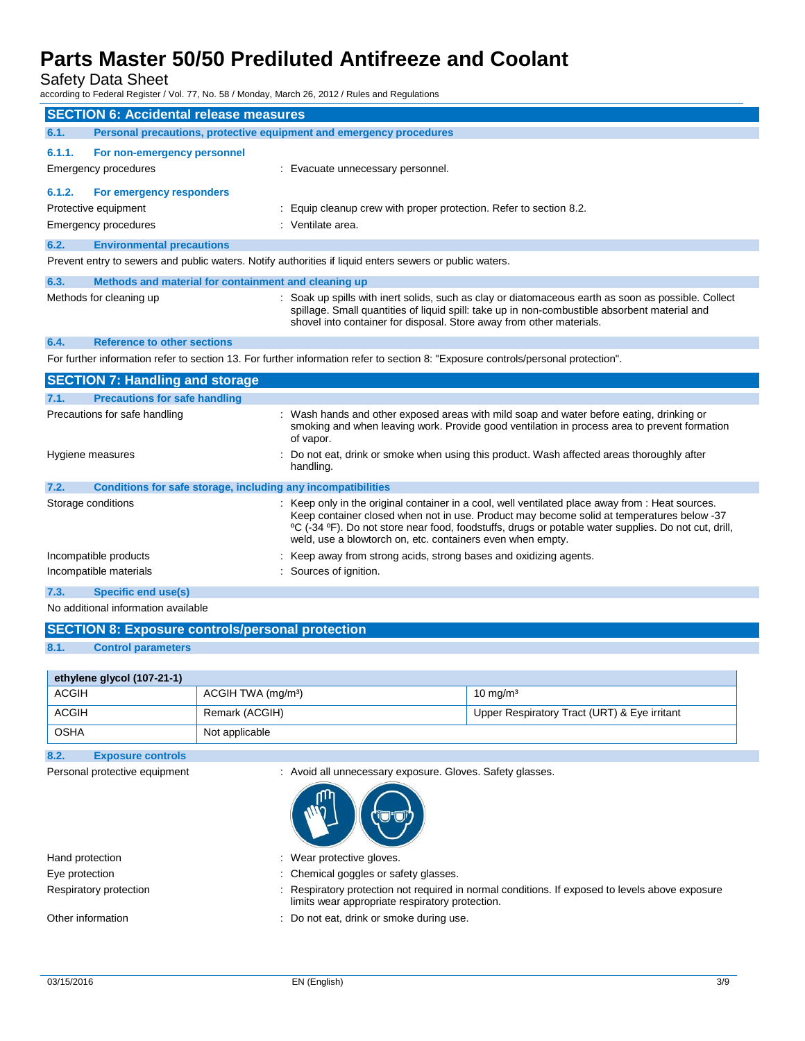## Safety Data Sheet

according to Federal Register / Vol. 77, No. 58 / Monday, March 26, 2012 / Rules and Regulations

|                                                                                                                                   | <b>SECTION 6: Accidental release measures</b>                                                           |                                                                                                                                                                                                                                                                              |  |  |
|-----------------------------------------------------------------------------------------------------------------------------------|---------------------------------------------------------------------------------------------------------|------------------------------------------------------------------------------------------------------------------------------------------------------------------------------------------------------------------------------------------------------------------------------|--|--|
| 6.1.                                                                                                                              | Personal precautions, protective equipment and emergency procedures                                     |                                                                                                                                                                                                                                                                              |  |  |
| 6.1.1.                                                                                                                            | For non-emergency personnel                                                                             |                                                                                                                                                                                                                                                                              |  |  |
|                                                                                                                                   | Emergency procedures                                                                                    | : Evacuate unnecessary personnel.                                                                                                                                                                                                                                            |  |  |
| 6.1.2.                                                                                                                            | For emergency responders                                                                                |                                                                                                                                                                                                                                                                              |  |  |
|                                                                                                                                   | Protective equipment                                                                                    | Equip cleanup crew with proper protection. Refer to section 8.2.                                                                                                                                                                                                             |  |  |
|                                                                                                                                   | Emergency procedures                                                                                    | : Ventilate area.                                                                                                                                                                                                                                                            |  |  |
| 6.2.                                                                                                                              | <b>Environmental precautions</b>                                                                        |                                                                                                                                                                                                                                                                              |  |  |
|                                                                                                                                   | Prevent entry to sewers and public waters. Notify authorities if liquid enters sewers or public waters. |                                                                                                                                                                                                                                                                              |  |  |
| 6.3.                                                                                                                              | Methods and material for containment and cleaning up                                                    |                                                                                                                                                                                                                                                                              |  |  |
|                                                                                                                                   | Methods for cleaning up                                                                                 | : Soak up spills with inert solids, such as clay or diatomaceous earth as soon as possible. Collect<br>spillage. Small quantities of liquid spill: take up in non-combustible absorbent material and<br>shovel into container for disposal. Store away from other materials. |  |  |
| 6.4.                                                                                                                              | <b>Reference to other sections</b>                                                                      |                                                                                                                                                                                                                                                                              |  |  |
| For further information refer to section 13. For further information refer to section 8: "Exposure controls/personal protection". |                                                                                                         |                                                                                                                                                                                                                                                                              |  |  |
|                                                                                                                                   | <b>SECTION 7: Handling and storage</b>                                                                  |                                                                                                                                                                                                                                                                              |  |  |
| 7.1.                                                                                                                              | <b>Precautions for safe handling</b>                                                                    |                                                                                                                                                                                                                                                                              |  |  |
|                                                                                                                                   | Precautions for safe handling                                                                           | : Wash hands and other exposed areas with mild soap and water before eating, drinking or<br>smoking and when leaving work. Provide good ventilation in process area to prevent formation<br>of vapor.                                                                        |  |  |
|                                                                                                                                   | Hygiene measures                                                                                        | Do not eat, drink or smoke when using this product. Wash affected areas thoroughly after<br>handling.                                                                                                                                                                        |  |  |
| 7.2.                                                                                                                              | Conditions for safe storage, including any incompatibilities                                            |                                                                                                                                                                                                                                                                              |  |  |
|                                                                                                                                   | Storage conditions                                                                                      | : Keep only in the original container in a cool, well ventilated place away from : Heat sources.<br>Keep container closed when not in use. Product may become solid at temperatures below -37                                                                                |  |  |

Keep container closed when not in use. Product may become solid at temperatures below -37 ºC (-34 ºF). Do not store near food, foodstuffs, drugs or potable water supplies. Do not cut, drill, weld, use a blowtorch on, etc. containers even when empty. Incompatible products **incompatible products** : Keep away from strong acids, strong bases and oxidizing agents. Incompatible materials **incompatible materials** : Sources of ignition.

**7.3. Specific end use(s)**

No additional information available

|      | <b>SECTION 8: Exposure controls/personal protection</b> |
|------|---------------------------------------------------------|
| 8.1. | <b>Control parameters</b>                               |
|      |                                                         |

| ethylene glycol (107-21-1) |                                |                                              |  |
|----------------------------|--------------------------------|----------------------------------------------|--|
| <b>ACGIH</b>               | ACGIH TWA (mg/m <sup>3</sup> ) | $10 \text{ mg/m}^3$                          |  |
| <b>ACGIH</b>               | Remark (ACGIH)                 | Upper Respiratory Tract (URT) & Eye irritant |  |
| OSHA                       | Not applicable                 |                                              |  |

### **8.2. Exposure controls**

Personal protective equipment : Avoid all unnecessary exposure. Gloves. Safety glasses.



| Hand protection        | : Wear protective gloves.                                                                                                                          |
|------------------------|----------------------------------------------------------------------------------------------------------------------------------------------------|
| Eye protection         | : Chemical goggles or safety glasses.                                                                                                              |
| Respiratory protection | : Respiratory protection not required in normal conditions. If exposed to levels above exposure<br>limits wear appropriate respiratory protection. |
| Other information      | : Do not eat, drink or smoke during use.                                                                                                           |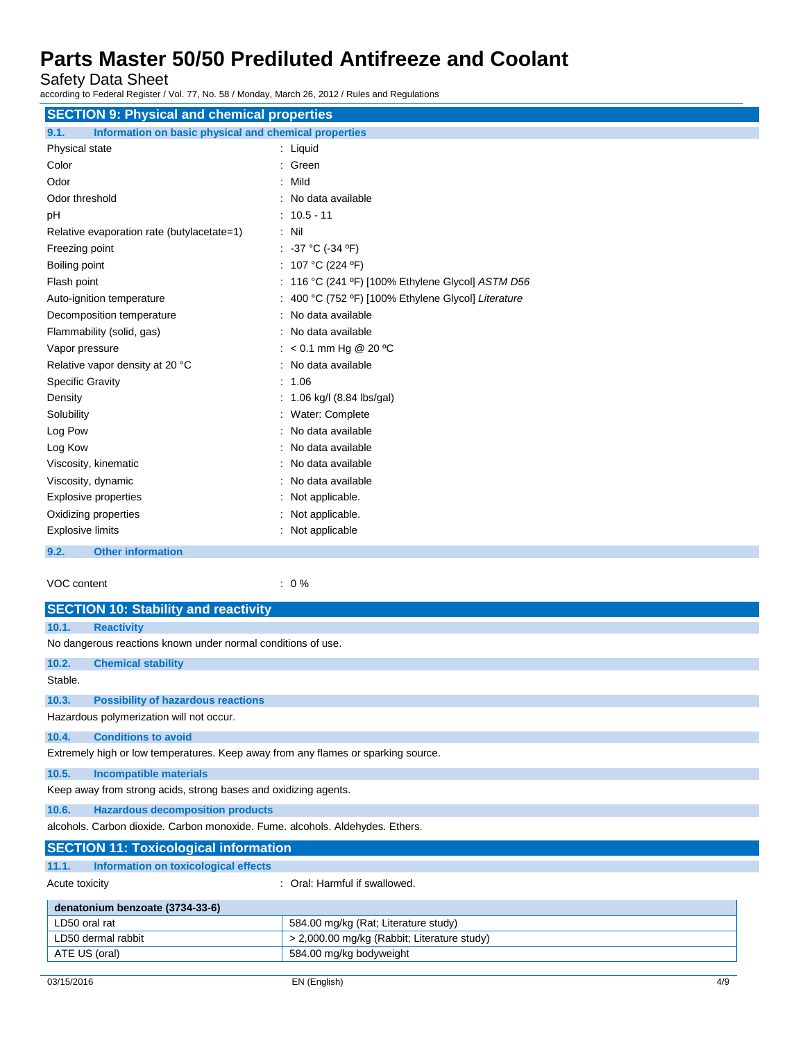Safety Data Sheet

according to Federal Register / Vol. 77, No. 58 / Monday, March 26, 2012 / Rules and Regulations

| <b>SECTION 9: Physical and chemical properties</b>            |                                                     |  |  |  |
|---------------------------------------------------------------|-----------------------------------------------------|--|--|--|
| Information on basic physical and chemical properties<br>9.1. |                                                     |  |  |  |
| Physical state                                                | : Liquid                                            |  |  |  |
| Color                                                         | : Green                                             |  |  |  |
| Odor                                                          | : Mild                                              |  |  |  |
| Odor threshold                                                | : No data available                                 |  |  |  |
| рH                                                            | $: 10.5 - 11$                                       |  |  |  |
| Relative evaporation rate (butylacetate=1)                    | $:$ Nil                                             |  |  |  |
| Freezing point                                                | : $-37 °C$ ( $-34 °F$ )                             |  |  |  |
| Boiling point                                                 | : 107 °C (224 °F)                                   |  |  |  |
| Flash point                                                   | : 116 °C (241 °F) [100% Ethylene Glycol] ASTM D56   |  |  |  |
| Auto-ignition temperature                                     | : 400 °C (752 °F) [100% Ethylene Glycol] Literature |  |  |  |
| Decomposition temperature                                     | : No data available                                 |  |  |  |
| Flammability (solid, gas)                                     | : No data available                                 |  |  |  |
| Vapor pressure                                                | : < 0.1 mm Hg @ 20 °C                               |  |  |  |
| Relative vapor density at 20 °C                               | : No data available                                 |  |  |  |
| <b>Specific Gravity</b>                                       | : 1.06                                              |  |  |  |
| Density                                                       | : 1.06 kg/l (8.84 lbs/gal)                          |  |  |  |
| Solubility                                                    | : Water: Complete                                   |  |  |  |
| Log Pow                                                       | : No data available                                 |  |  |  |
| Log Kow                                                       | : No data available                                 |  |  |  |
| Viscosity, kinematic                                          | : No data available                                 |  |  |  |
| Viscosity, dynamic                                            | : No data available                                 |  |  |  |
| <b>Explosive properties</b>                                   | : Not applicable.                                   |  |  |  |
| Oxidizing properties                                          | : Not applicable.                                   |  |  |  |
| <b>Explosive limits</b>                                       | : Not applicable                                    |  |  |  |
| 9.2.<br><b>Other information</b>                              |                                                     |  |  |  |

VOC content : 0 %

|                | <b>SECTION 10: Stability and reactivity</b>                                       |                                             |  |  |
|----------------|-----------------------------------------------------------------------------------|---------------------------------------------|--|--|
| 10.1.          | <b>Reactivity</b>                                                                 |                                             |  |  |
|                | No dangerous reactions known under normal conditions of use.                      |                                             |  |  |
| 10.2.          | <b>Chemical stability</b>                                                         |                                             |  |  |
| Stable.        |                                                                                   |                                             |  |  |
| 10.3.          | <b>Possibility of hazardous reactions</b>                                         |                                             |  |  |
|                | Hazardous polymerization will not occur.                                          |                                             |  |  |
| 10.4.          | <b>Conditions to avoid</b>                                                        |                                             |  |  |
|                | Extremely high or low temperatures. Keep away from any flames or sparking source. |                                             |  |  |
| 10.5.          | <b>Incompatible materials</b>                                                     |                                             |  |  |
|                | Keep away from strong acids, strong bases and oxidizing agents.                   |                                             |  |  |
| 10.6.          | <b>Hazardous decomposition products</b>                                           |                                             |  |  |
|                | alcohols. Carbon dioxide. Carbon monoxide. Fume. alcohols. Aldehydes. Ethers.     |                                             |  |  |
|                | <b>SECTION 11: Toxicological information</b>                                      |                                             |  |  |
| 11.1.          | Information on toxicological effects                                              |                                             |  |  |
| Acute toxicity |                                                                                   | $\therefore$ Oral: Harmful if swallowed.    |  |  |
|                | denatonium benzoate (3734-33-6)                                                   |                                             |  |  |
| LD50 oral rat  |                                                                                   | 584.00 mg/kg (Rat; Literature study)        |  |  |
|                | LD50 dermal rabbit                                                                | > 2,000.00 mg/kg (Rabbit; Literature study) |  |  |

ATE US (oral) 684.00 mg/kg bodyweight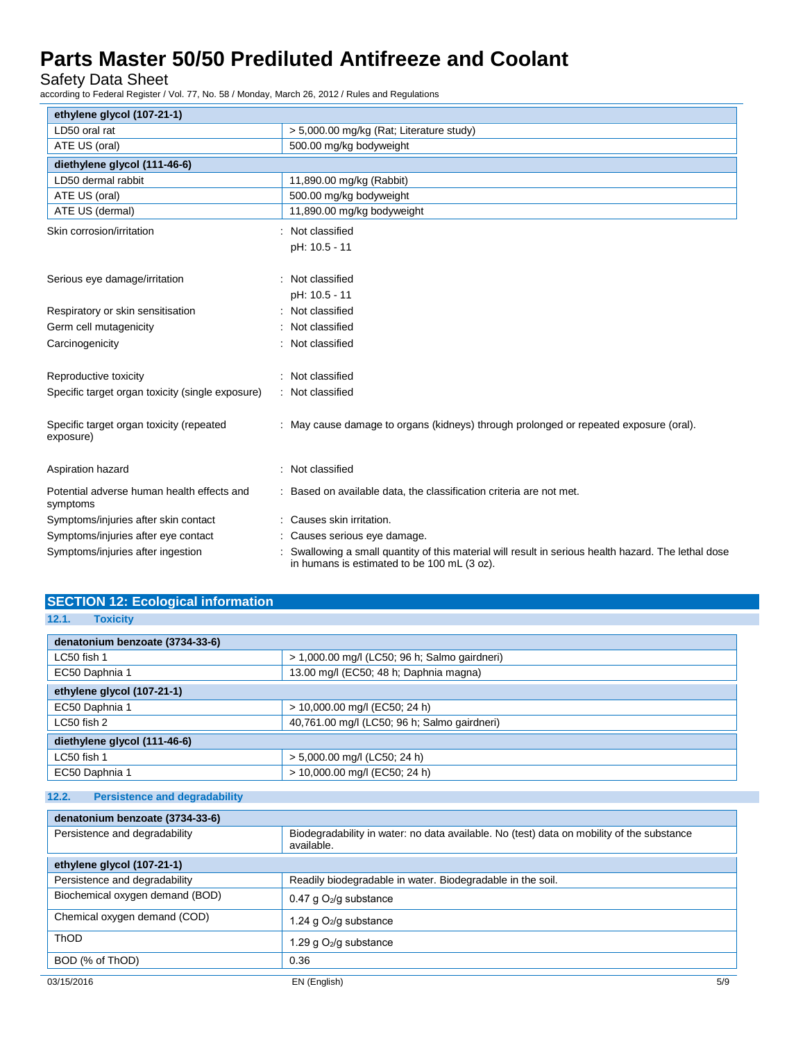Safety Data Sheet

according to Federal Register / Vol. 77, No. 58 / Monday, March 26, 2012 / Rules and Regulations

| ethylene glycol (107-21-1)                             |                                                                                                                                                   |
|--------------------------------------------------------|---------------------------------------------------------------------------------------------------------------------------------------------------|
| LD50 oral rat                                          | > 5,000.00 mg/kg (Rat; Literature study)                                                                                                          |
| ATE US (oral)                                          | 500.00 mg/kg bodyweight                                                                                                                           |
| diethylene glycol (111-46-6)                           |                                                                                                                                                   |
| LD50 dermal rabbit                                     | 11,890.00 mg/kg (Rabbit)                                                                                                                          |
| ATE US (oral)                                          | 500.00 mg/kg bodyweight                                                                                                                           |
| ATE US (dermal)                                        | 11,890.00 mg/kg bodyweight                                                                                                                        |
| Skin corrosion/irritation                              | Not classified                                                                                                                                    |
|                                                        | pH: 10.5 - 11                                                                                                                                     |
|                                                        |                                                                                                                                                   |
| Serious eye damage/irritation                          | Not classified                                                                                                                                    |
|                                                        | pH: 10.5 - 11                                                                                                                                     |
| Respiratory or skin sensitisation                      | Not classified                                                                                                                                    |
| Germ cell mutagenicity                                 | Not classified                                                                                                                                    |
| Carcinogenicity                                        | Not classified                                                                                                                                    |
|                                                        |                                                                                                                                                   |
| Reproductive toxicity                                  | Not classified                                                                                                                                    |
| Specific target organ toxicity (single exposure)       | : Not classified                                                                                                                                  |
|                                                        |                                                                                                                                                   |
| Specific target organ toxicity (repeated               | May cause damage to organs (kidneys) through prolonged or repeated exposure (oral).                                                               |
| exposure)                                              |                                                                                                                                                   |
|                                                        |                                                                                                                                                   |
| Aspiration hazard                                      | Not classified                                                                                                                                    |
| Potential adverse human health effects and<br>symptoms | Based on available data, the classification criteria are not met.                                                                                 |
| Symptoms/injuries after skin contact                   | : Causes skin irritation.                                                                                                                         |
| Symptoms/injuries after eye contact                    | Causes serious eye damage.                                                                                                                        |
| Symptoms/injuries after ingestion                      | Swallowing a small quantity of this material will result in serious health hazard. The lethal dose<br>in humans is estimated to be 100 mL (3 oz). |

| <b>SECTION 12: Ecological information</b> |  |
|-------------------------------------------|--|
|                                           |  |

| 12.1. |  | <b>Toxicity</b> |  |
|-------|--|-----------------|--|
|       |  |                 |  |

| denatonium benzoate (3734-33-6) |                                               |  |  |
|---------------------------------|-----------------------------------------------|--|--|
| LC50 fish 1                     | > 1,000.00 mg/l (LC50; 96 h; Salmo gairdneri) |  |  |
| EC50 Daphnia 1                  | 13.00 mg/l (EC50; 48 h; Daphnia magna)        |  |  |
| ethylene glycol (107-21-1)      |                                               |  |  |
| EC50 Daphnia 1                  | > 10,000.00 mg/l (EC50; 24 h)                 |  |  |
| LC50 fish 2                     | 40,761.00 mg/l (LC50; 96 h; Salmo gairdneri)  |  |  |
| diethylene glycol (111-46-6)    |                                               |  |  |
| LC50 fish 1                     | > 5,000.00 mg/l (LC50; 24 h)                  |  |  |
| EC50 Daphnia 1                  | > 10,000.00 mg/l (EC50; 24 h)                 |  |  |

## **12.2. Persistence and degradability**

| denatonium benzoate (3734-33-6) |                                                                                                         |
|---------------------------------|---------------------------------------------------------------------------------------------------------|
| Persistence and degradability   | Biodegradability in water: no data available. No (test) data on mobility of the substance<br>available. |
| ethylene glycol (107-21-1)      |                                                                                                         |
| Persistence and degradability   | Readily biodegradable in water. Biodegradable in the soil.                                              |
| Biochemical oxygen demand (BOD) | 0.47 g $O_2$ /g substance                                                                               |
| Chemical oxygen demand (COD)    | 1.24 g O <sub>2</sub> /g substance                                                                      |
| <b>ThOD</b>                     | 1.29 g $O_2$ /g substance                                                                               |
| BOD (% of ThOD)                 | 0.36                                                                                                    |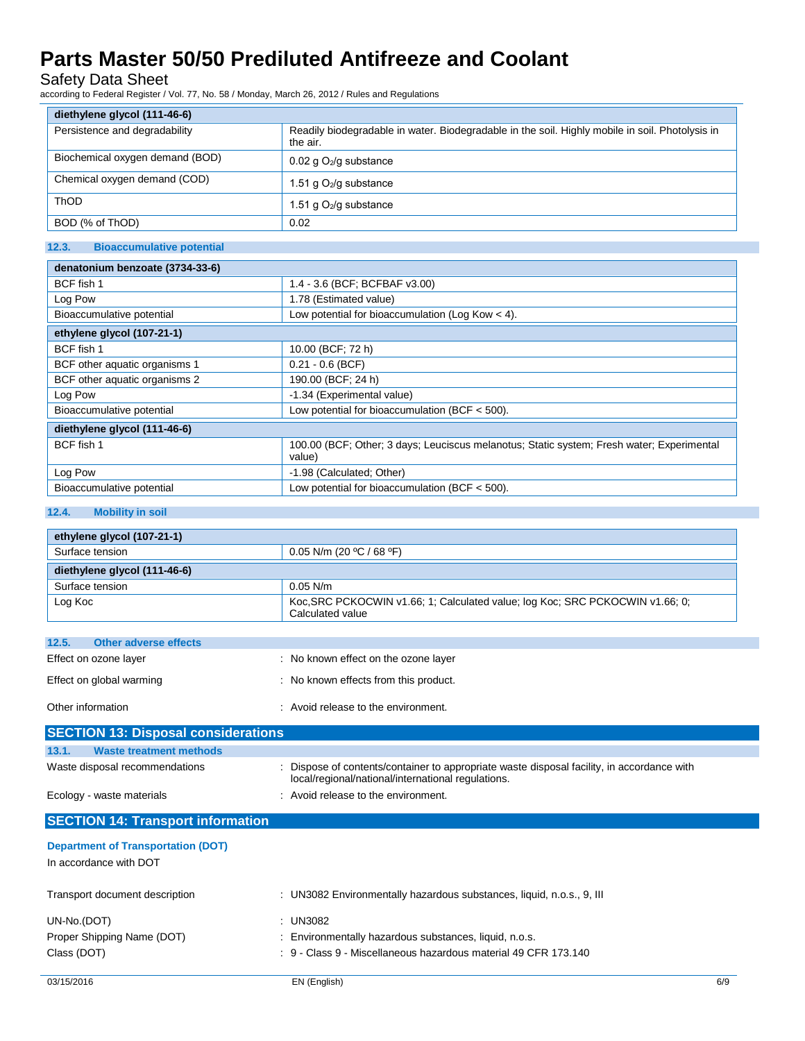Safety Data Sheet

according to Federal Register / Vol. 77, No. 58 / Monday, March 26, 2012 / Rules and Regulations

| diethylene glycol (111-46-6)    |                                                                                                             |  |
|---------------------------------|-------------------------------------------------------------------------------------------------------------|--|
| Persistence and degradability   | Readily biodegradable in water. Biodegradable in the soil. Highly mobile in soil. Photolysis in<br>the air. |  |
| Biochemical oxygen demand (BOD) | $0.02$ g O <sub>2</sub> /g substance                                                                        |  |
| Chemical oxygen demand (COD)    | 1.51 g $O_2$ /g substance                                                                                   |  |
| ThOD                            | 1.51 g $O_2$ /g substance                                                                                   |  |
| BOD (% of ThOD)                 | 0.02                                                                                                        |  |

## **12.3. Bioaccumulative potential**

| denatonium benzoate (3734-33-6) |                                                                                                     |  |
|---------------------------------|-----------------------------------------------------------------------------------------------------|--|
| BCF fish 1                      | 1.4 - 3.6 (BCF; BCFBAF v3.00)                                                                       |  |
| Log Pow                         | 1.78 (Estimated value)                                                                              |  |
| Bioaccumulative potential       | Low potential for bioaccumulation (Log Kow $<$ 4).                                                  |  |
| ethylene glycol (107-21-1)      |                                                                                                     |  |
| BCF fish 1                      | 10.00 (BCF; 72 h)                                                                                   |  |
| BCF other aquatic organisms 1   | $0.21 - 0.6$ (BCF)                                                                                  |  |
| BCF other aquatic organisms 2   | 190.00 (BCF; 24 h)                                                                                  |  |
| Log Pow                         | -1.34 (Experimental value)                                                                          |  |
| Bioaccumulative potential       | Low potential for bioaccumulation (BCF $<$ 500).                                                    |  |
| diethylene glycol (111-46-6)    |                                                                                                     |  |
| BCF fish 1                      | 100.00 (BCF; Other; 3 days; Leuciscus melanotus; Static system; Fresh water; Experimental<br>value) |  |
| Log Pow                         | -1.98 (Calculated; Other)                                                                           |  |
| Bioaccumulative potential       | Low potential for bioaccumulation (BCF $<$ 500).                                                    |  |

## **12.4. Mobility in soil**

| ethylene glycol (107-21-1)     |                                                                                                   |  |
|--------------------------------|---------------------------------------------------------------------------------------------------|--|
| Surface tension                | 0.05 N/m (20 °C / 68 °F)                                                                          |  |
| diethylene glycol (111-46-6)   |                                                                                                   |  |
| Surface tension                | $0.05$ N/m                                                                                        |  |
| Log Koc                        | Koc, SRC PCKOCWIN v1.66; 1; Calculated value; log Koc; SRC PCKOCWIN v1.66; 0;<br>Calculated value |  |
|                                |                                                                                                   |  |
| Other adverse effects<br>12.5. |                                                                                                   |  |
| Effect on ozone layer          | : No known effect on the ozone layer                                                              |  |
| Effect on global warming       | : No known effects from this product.                                                             |  |
| Other information              | : Avoid release to the environment.                                                               |  |
|                                |                                                                                                   |  |

| <u> ISECTION TS. DISPOSAI CONSIDEI AUDITS</u>                       |                                                                                                                                                  |
|---------------------------------------------------------------------|--------------------------------------------------------------------------------------------------------------------------------------------------|
| 13.1.<br><b>Waste treatment methods</b>                             |                                                                                                                                                  |
| Waste disposal recommendations                                      | : Dispose of contents/container to appropriate waste disposal facility, in accordance with<br>local/regional/national/international regulations. |
| Ecology - waste materials                                           | : Avoid release to the environment.                                                                                                              |
| <b>SECTION 14: Transport information</b>                            |                                                                                                                                                  |
| <b>Department of Transportation (DOT)</b><br>In accordance with DOT |                                                                                                                                                  |

| : UN3082 Environmentally hazardous substances, liquid, n.o.s., 9, III |
|-----------------------------------------------------------------------|
| UN3082                                                                |
| : Environmentally hazardous substances, liquid, n.o.s.                |
| : 9 - Class 9 - Miscellaneous hazardous material 49 CFR 173.140       |
|                                                                       |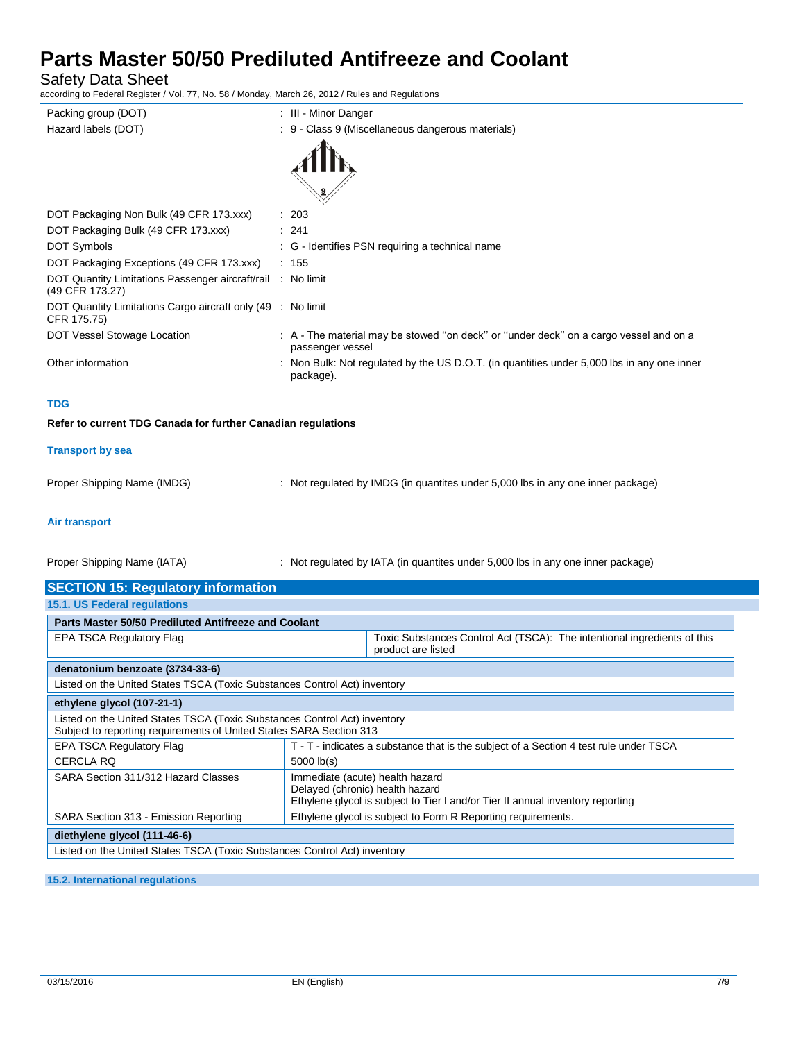Safety Data Sheet

according to Federal Register / Vol. 77, No. 58 / Monday, March 26, 2012 / Rules and Regulations

| Packing group (DOT)                                                            | : III - Minor Danger                                                                                      |
|--------------------------------------------------------------------------------|-----------------------------------------------------------------------------------------------------------|
| Hazard labels (DOT)                                                            | : 9 - Class 9 (Miscellaneous dangerous materials)                                                         |
|                                                                                |                                                                                                           |
|                                                                                |                                                                                                           |
| DOT Packaging Non Bulk (49 CFR 173.xxx)                                        | : 203                                                                                                     |
| DOT Packaging Bulk (49 CFR 173.xxx)                                            | $\therefore$ 241                                                                                          |
| <b>DOT Symbols</b>                                                             | : G - Identifies PSN requiring a technical name                                                           |
| DOT Packaging Exceptions (49 CFR 173.xxx)                                      | : 155                                                                                                     |
| DOT Quantity Limitations Passenger aircraft/rail : No limit<br>(49 CFR 173.27) |                                                                                                           |
| DOT Quantity Limitations Cargo aircraft only (49 : No limit<br>CFR 175.75)     |                                                                                                           |
| DOT Vessel Stowage Location                                                    | : A - The material may be stowed "on deck" or "under deck" on a cargo vessel and on a<br>passenger vessel |
| Other information                                                              | : Non Bulk: Not regulated by the US D.O.T. (in quantities under 5,000 lbs in any one inner<br>package).   |
|                                                                                |                                                                                                           |

## **TDG**

### **Refer to current TDG Canada for further Canadian regulations**

#### **Transport by sea**

Proper Shipping Name (IMDG) : Not regulated by IMDG (in quantites under 5,000 lbs in any one inner package)

## **Air transport**

Proper Shipping Name (IATA) : Not regulated by IATA (in quantites under 5,000 lbs in any one inner package)

| <b>SECTION 15: Regulatory information</b>                                                                                                        |                                                                                                                                                      |                                                                                                |  |  |
|--------------------------------------------------------------------------------------------------------------------------------------------------|------------------------------------------------------------------------------------------------------------------------------------------------------|------------------------------------------------------------------------------------------------|--|--|
| 15.1. US Federal regulations                                                                                                                     |                                                                                                                                                      |                                                                                                |  |  |
|                                                                                                                                                  | Parts Master 50/50 Prediluted Antifreeze and Coolant                                                                                                 |                                                                                                |  |  |
| <b>EPA TSCA Regulatory Flag</b>                                                                                                                  |                                                                                                                                                      | Toxic Substances Control Act (TSCA): The intentional ingredients of this<br>product are listed |  |  |
| denatonium benzoate (3734-33-6)                                                                                                                  |                                                                                                                                                      |                                                                                                |  |  |
| Listed on the United States TSCA (Toxic Substances Control Act) inventory                                                                        |                                                                                                                                                      |                                                                                                |  |  |
| ethylene glycol (107-21-1)                                                                                                                       |                                                                                                                                                      |                                                                                                |  |  |
| Listed on the United States TSCA (Toxic Substances Control Act) inventory<br>Subject to reporting requirements of United States SARA Section 313 |                                                                                                                                                      |                                                                                                |  |  |
| <b>EPA TSCA Regulatory Flag</b>                                                                                                                  | T - T - indicates a substance that is the subject of a Section 4 test rule under TSCA                                                                |                                                                                                |  |  |
| <b>CERCLA RQ</b>                                                                                                                                 | $5000$ $lb(s)$                                                                                                                                       |                                                                                                |  |  |
| SARA Section 311/312 Hazard Classes                                                                                                              | Immediate (acute) health hazard<br>Delayed (chronic) health hazard<br>Ethylene glycol is subject to Tier I and/or Tier II annual inventory reporting |                                                                                                |  |  |
| SARA Section 313 - Emission Reporting                                                                                                            |                                                                                                                                                      | Ethylene glycol is subject to Form R Reporting requirements.                                   |  |  |
| diethylene glycol (111-46-6)                                                                                                                     |                                                                                                                                                      |                                                                                                |  |  |
| Listed on the United States TSCA (Toxic Substances Control Act) inventory                                                                        |                                                                                                                                                      |                                                                                                |  |  |

#### **15.2. International regulations**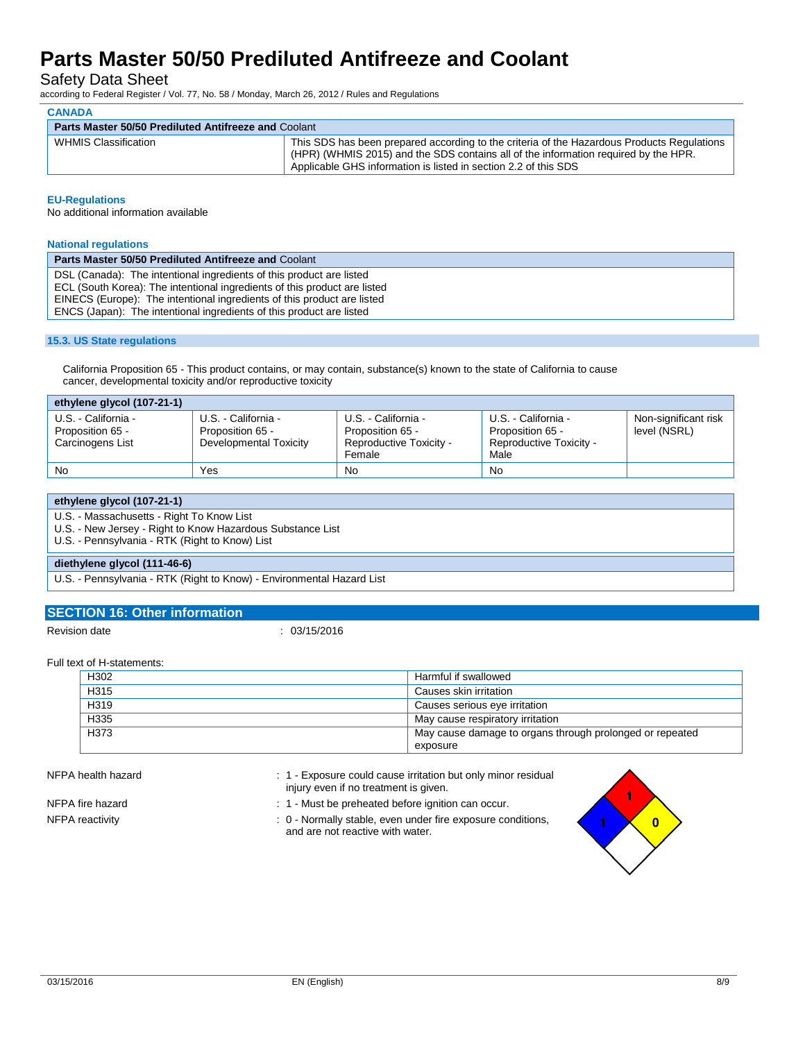Safety Data Sheet

according to Federal Register / Vol. 77, No. 58 / Monday, March 26, 2012 / Rules and Regulations

|                                                             | <b>CANADA</b>               |                                                                                                                                                                                                                                                      |  |  |  |
|-------------------------------------------------------------|-----------------------------|------------------------------------------------------------------------------------------------------------------------------------------------------------------------------------------------------------------------------------------------------|--|--|--|
| <b>Parts Master 50/50 Prediluted Antifreeze and Coolant</b> |                             |                                                                                                                                                                                                                                                      |  |  |  |
|                                                             | <b>WHMIS Classification</b> | This SDS has been prepared according to the criteria of the Hazardous Products Regulations<br>(HPR) (WHMIS 2015) and the SDS contains all of the information required by the HPR.<br>Applicable GHS information is listed in section 2.2 of this SDS |  |  |  |

#### **EU-Regulations**

**CANADA**

No additional information available

#### **National regulations**

| <b>Parts Master 50/50 Prediluted Antifreeze and Coolant</b>                                                                                          |
|------------------------------------------------------------------------------------------------------------------------------------------------------|
| DSL (Canada): The intentional ingredients of this product are listed                                                                                 |
| ECL (South Korea): The intentional ingredients of this product are listed<br>EINECS (Europe): The intentional ingredients of this product are listed |
| ENCS (Japan): The intentional ingredients of this product are listed                                                                                 |

#### **15.3. US State regulations**

California Proposition 65 - This product contains, or may contain, substance(s) known to the state of California to cause cancer, developmental toxicity and/or reproductive toxicity

| ethylene glycol (107-21-1)                                  |                                                                   |                                                                              |                                                                            |                                      |
|-------------------------------------------------------------|-------------------------------------------------------------------|------------------------------------------------------------------------------|----------------------------------------------------------------------------|--------------------------------------|
| U.S. - California -<br>Proposition 65 -<br>Carcinogens List | U.S. - California -<br>Proposition 65 -<br>Developmental Toxicity | U.S. - California -<br>Proposition 65 -<br>Reproductive Toxicity -<br>Female | U.S. - California -<br>Proposition 65 -<br>Reproductive Toxicity -<br>Male | Non-significant risk<br>level (NSRL) |
| <b>No</b>                                                   | Yes                                                               | No                                                                           | No                                                                         |                                      |

| ethylene glycol (107-21-1)                                                                                                                                |
|-----------------------------------------------------------------------------------------------------------------------------------------------------------|
| U.S. - Massachusetts - Right To Know List<br>U.S. - New Jersey - Right to Know Hazardous Substance List<br>U.S. - Pennsylvania - RTK (Right to Know) List |
| diethylene glycol (111-46-6)                                                                                                                              |
| U.S. - Pennsylvania - RTK (Right to Know) - Environmental Hazard List                                                                                     |

### **SECTION 16: Other information**

Revision date : 03/15/2016

Full text of H-statements:

| H302 | Harmful if swallowed                                     |
|------|----------------------------------------------------------|
| H315 | Causes skin irritation                                   |
| H319 | Causes serious eye irritation                            |
| H335 | May cause respiratory irritation                         |
| H373 | May cause damage to organs through prolonged or repeated |
|      | exposure                                                 |

NFPA health hazard **in 1990** : 1 - Exposure could cause irritation but only minor residual injury even if no treatment is given.

- NFPA fire hazard **in the state of the state of the 1** Must be preheated before ignition can occur.
- NFPA reactivity **interest and the COV** of the Normally stable, even under fire exposure conditions, and are not reactive with water.



 $\overline{\mathbf{0}}$